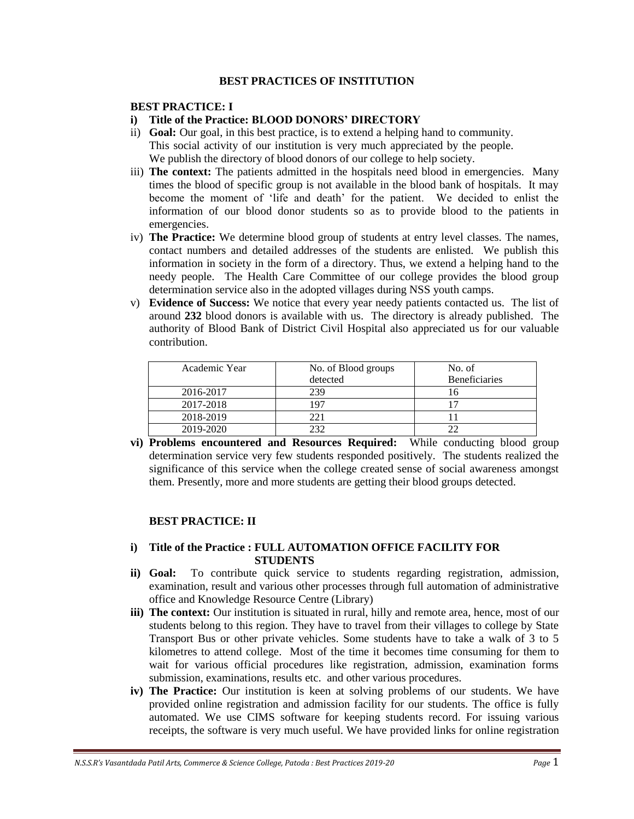## **BEST PRACTICES OF INSTITUTION**

## **BEST PRACTICE: I**

# **i) Title of the Practice: BLOOD DONORS' DIRECTORY**

- ii) **Goal:** Our goal, in this best practice, is to extend a helping hand to community. This social activity of our institution is very much appreciated by the people. We publish the directory of blood donors of our college to help society.
- iii) **The context:** The patients admitted in the hospitals need blood in emergencies. Many times the blood of specific group is not available in the blood bank of hospitals. It may become the moment of 'life and death' for the patient. We decided to enlist the information of our blood donor students so as to provide blood to the patients in emergencies.
- iv) **The Practice:** We determine blood group of students at entry level classes. The names, contact numbers and detailed addresses of the students are enlisted. We publish this information in society in the form of a directory. Thus, we extend a helping hand to the needy people. The Health Care Committee of our college provides the blood group determination service also in the adopted villages during NSS youth camps.
- v) **Evidence of Success:** We notice that every year needy patients contacted us. The list of around **232** blood donors is available with us. The directory is already published. The authority of Blood Bank of District Civil Hospital also appreciated us for our valuable contribution.

| Academic Year | No. of Blood groups | No. of               |
|---------------|---------------------|----------------------|
|               | detected            | <b>Beneficiaries</b> |
| 2016-2017     | 239                 |                      |
| 2017-2018     | 97                  |                      |
| 2018-2019     | 221                 |                      |
| 2019-2020     | つつつ                 |                      |

**vi) Problems encountered and Resources Required:** While conducting blood group determination service very few students responded positively. The students realized the significance of this service when the college created sense of social awareness amongst them. Presently, more and more students are getting their blood groups detected.

# **BEST PRACTICE: II**

# **i) Title of the Practice : FULL AUTOMATION OFFICE FACILITY FOR STUDENTS**

- **ii) Goal:** To contribute quick service to students regarding registration, admission, examination, result and various other processes through full automation of administrative office and Knowledge Resource Centre (Library)
- **iii) The context:** Our institution is situated in rural, hilly and remote area, hence, most of our students belong to this region. They have to travel from their villages to college by State Transport Bus or other private vehicles. Some students have to take a walk of 3 to 5 kilometres to attend college. Most of the time it becomes time consuming for them to wait for various official procedures like registration, admission, examination forms submission, examinations, results etc. and other various procedures.
- **iv) The Practice:** Our institution is keen at solving problems of our students. We have provided online registration and admission facility for our students. The office is fully automated. We use CIMS software for keeping students record. For issuing various receipts, the software is very much useful. We have provided links for online registration